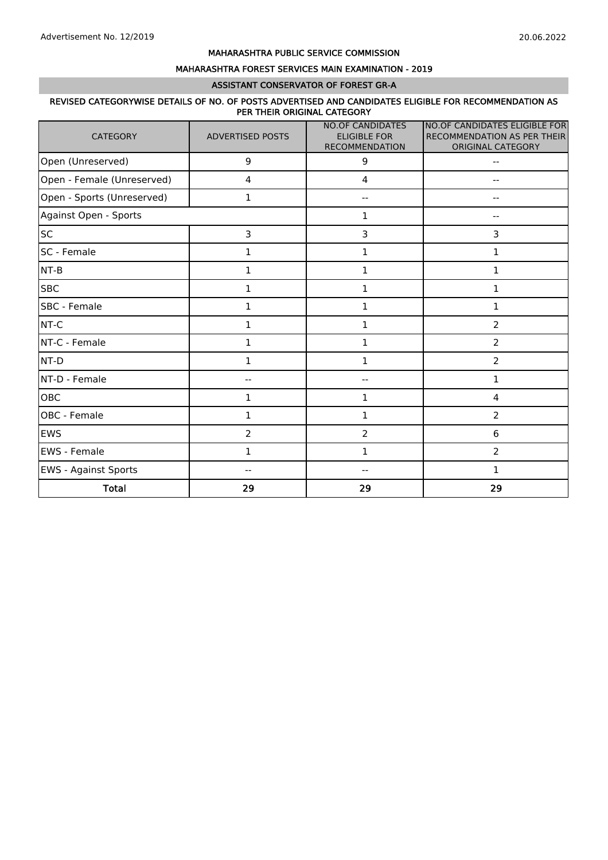#### MAHARASHTRA FOREST SERVICES MAIN EXAMINATION - 2019

#### ASSISTANT CONSERVATOR OF FOREST GR-A

#### REVISED CATEGORYWISE DETAILS OF NO. OF POSTS ADVERTISED AND CANDIDATES ELIGIBLE FOR RECOMMENDATION AS PER THEIR ORIGINAL CATEGORY

| <b>CATEGORY</b>             | <b>ADVERTISED POSTS</b> | <b>NO.OF CANDIDATES</b><br><b>ELIGIBLE FOR</b><br><b>RECOMMENDATION</b> | NO.OF CANDIDATES ELIGIBLE FOR<br>RECOMMENDATION AS PER THEIR<br>ORIGINAL CATEGORY |
|-----------------------------|-------------------------|-------------------------------------------------------------------------|-----------------------------------------------------------------------------------|
| Open (Unreserved)           | 9                       | 9                                                                       | $-$                                                                               |
| Open - Female (Unreserved)  | 4                       | $\overline{\mathbf{4}}$                                                 |                                                                                   |
| Open - Sports (Unreserved)  | 1                       | --                                                                      |                                                                                   |
| Against Open - Sports       |                         | 1                                                                       |                                                                                   |
| <b>SC</b>                   | 3                       | 3                                                                       | 3                                                                                 |
| SC - Female                 | $\mathbf{1}$            | $\mathbf 1$                                                             | $\mathbf 1$                                                                       |
| $NT-B$                      | $\mathbf{1}$            | $\mathbf{1}$                                                            | $\mathbf{1}$                                                                      |
| <b>SBC</b>                  | 1                       | 1                                                                       | 1                                                                                 |
| SBC - Female                | $\mathbf{1}$            | $\mathbf{1}$                                                            | 1                                                                                 |
| NT-C                        | $\mathbf{1}$            | $\mathbf 1$                                                             | $\overline{2}$                                                                    |
| NT-C - Female               | $\mathbf 1$             | $\mathbf 1$                                                             | $\overline{2}$                                                                    |
| NT-D                        | $\mathbf{1}$            | 1                                                                       | $\overline{2}$                                                                    |
| NT-D - Female               |                         | --                                                                      | $\mathbf{1}$                                                                      |
| OBC                         | $\mathbf{1}$            | 1                                                                       | $\overline{4}$                                                                    |
| OBC - Female                | $\mathbf{1}$            | $\mathbf 1$                                                             | $\overline{2}$                                                                    |
| <b>EWS</b>                  | $\overline{2}$          | $\overline{2}$                                                          | $\,6\,$                                                                           |
| EWS - Female                | $\mathbf{1}$            | 1                                                                       | $\overline{2}$                                                                    |
| <b>EWS</b> - Against Sports |                         |                                                                         | 1                                                                                 |
| <b>Total</b>                | 29                      | 29                                                                      | 29                                                                                |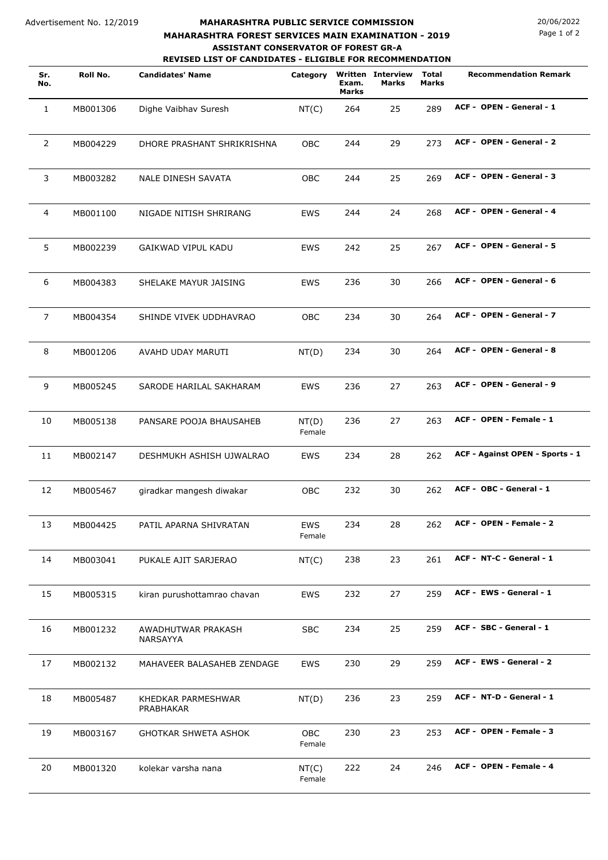#### Advertisement No. 12/2019

### **MAHARASHTRA PUBLIC SERVICE COMMISSION** 20/06/2022 **REVISED LIST OF CANDIDATES - ELIGIBLE FOR RECOMMENDATION MAHARASHTRA FOREST SERVICES MAIN EXAMINATION - 2019 ASSISTANT CONSERVATOR OF FOREST GR-A**

Page 1 of 2

| Sr.<br>No.     | Roll No. | <b>Candidates' Name</b>         | Category             | Exam.<br><b>Marks</b> | <b>Written Interview</b><br>Marks | <b>Total</b><br>Marks | <b>Recommendation Remark</b>    |
|----------------|----------|---------------------------------|----------------------|-----------------------|-----------------------------------|-----------------------|---------------------------------|
| $\mathbf{1}$   | MB001306 | Dighe Vaibhav Suresh            | NT(C)                | 264                   | 25                                | 289                   | ACF - OPEN - General - 1        |
| $\overline{2}$ | MB004229 | DHORE PRASHANT SHRIKRISHNA      | <b>OBC</b>           | 244                   | 29                                | 273                   | ACF - OPEN - General - 2        |
| 3              | MB003282 | NALE DINESH SAVATA              | OBC                  | 244                   | 25                                | 269                   | ACF - OPEN - General - 3        |
| $\overline{4}$ | MB001100 | NIGADE NITISH SHRIRANG          | <b>EWS</b>           | 244                   | 24                                | 268                   | ACF - OPEN - General - 4        |
| 5              | MB002239 | GAIKWAD VIPUL KADU              | <b>EWS</b>           | 242                   | 25                                | 267                   | ACF - OPEN - General - 5        |
| 6              | MB004383 | SHELAKE MAYUR JAISING           | <b>EWS</b>           | 236                   | 30                                | 266                   | ACF - OPEN - General - 6        |
| $\overline{7}$ | MB004354 | SHINDE VIVEK UDDHAVRAO          | <b>OBC</b>           | 234                   | 30                                | 264                   | ACF - OPEN - General - 7        |
| 8              | MB001206 | AVAHD UDAY MARUTI               | NT(D)                | 234                   | 30                                | 264                   | ACF - OPEN - General - 8        |
| 9              | MB005245 | SARODE HARILAL SAKHARAM         | <b>EWS</b>           | 236                   | 27                                | 263                   | ACF - OPEN - General - 9        |
| 10             | MB005138 | PANSARE POOJA BHAUSAHEB         | NT(D)<br>Female      | 236                   | 27                                | 263                   | ACF - OPEN - Female - 1         |
| 11             | MB002147 | DESHMUKH ASHISH UJWALRAO        | <b>EWS</b>           | 234                   | 28                                | 262                   | ACF - Against OPEN - Sports - 1 |
| 12             | MB005467 | giradkar mangesh diwakar        | <b>OBC</b>           | 232                   | 30                                | 262                   | ACF - OBC - General - 1         |
| 13             | MB004425 | PATIL APARNA SHIVRATAN          | EWS<br>Female        | 234                   | 28                                | 262                   | ACF - OPEN - Female - 2         |
| 14             | MB003041 | PUKALE AJIT SARJERAO            | NT(C)                | 238                   | 23                                | 261                   | ACF - NT-C - General - 1        |
| 15             | MB005315 | kiran purushottamrao chavan     | EWS                  | 232                   | 27                                | 259                   | ACF - EWS - General - 1         |
| 16             | MB001232 | AWADHUTWAR PRAKASH<br>NARSAYYA  | <b>SBC</b>           | 234                   | 25                                | 259                   | ACF - SBC - General - 1         |
| 17             | MB002132 | MAHAVEER BALASAHEB ZENDAGE      | <b>EWS</b>           | 230                   | 29                                | 259                   | ACF - EWS - General - 2         |
| 18             | MB005487 | KHEDKAR PARMESHWAR<br>PRABHAKAR | NT(D)                | 236                   | 23                                | 259                   | ACF - NT-D - General - 1        |
| 19             | MB003167 | GHOTKAR SHWETA ASHOK            | <b>OBC</b><br>Female | 230                   | 23                                | 253                   | ACF - OPEN - Female - 3         |
| 20             | MB001320 | kolekar varsha nana             | NT(C)<br>Female      | 222                   | 24                                | 246                   | ACF - OPEN - Female - 4         |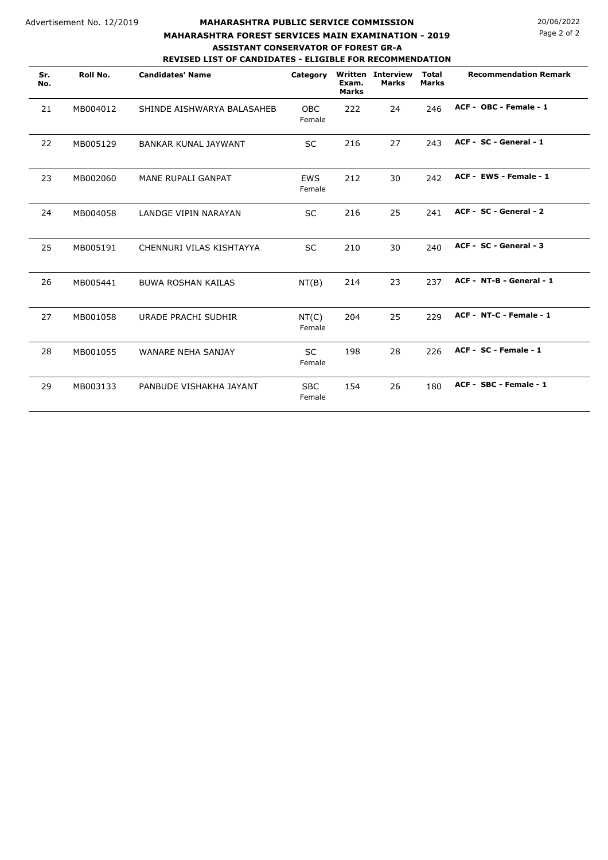### **MAHARASHTRA PUBLIC SERVICE COMMISSION** 20/06/2022 **REVISED LIST OF CANDIDATES - ELIGIBLE FOR RECOMMENDATION MAHARASHTRA FOREST SERVICES MAIN EXAMINATION - 2019 ASSISTANT CONSERVATOR OF FOREST GR-A**

**Roll No. Candidates' Name Total Written Interview Marks Sr. Category Recommendation Remark No. Exam. Marks Marks** 21 MB004012 SHINDE AISHWARYA BALASAHEB OBC 222 24 246 **ACF - OBC - Female - 1** Female 22 MB005129 BANKAR KUNAL JAYWANT SC 216 27 243 **ACF - SC - General - 1** 23 MB002060 MANE RUPALI GANPAT EWS 212 30 242 **ACF - EWS - Female - 1** Female 24 MB004058 LANDGE VIPIN NARAYAN SC 216 25 241 **ACF - SC - General - 2** 25 MB005191 CHENNURI VILAS KISHTAYYA SC 210 30 240 **ACF - SC - General - 3** 26 MB005441 BUWA ROSHAN KAILAS NT(B) 214 23 237 **ACF - NT-B - General - 1** 27 MB001058 URADE PRACHI SUDHIR NT(C) 204 25 229 **ACF - NT-C - Female - 1** Female 28 MB001055 WANARE NEHA SANJAY SC 198 28 226 **ACF - SC - Female - 1** Female 29 MB003133 PANBUDE VISHAKHA JAYANT SBC 154 26 180 ACF - SBC - Female - 1 Female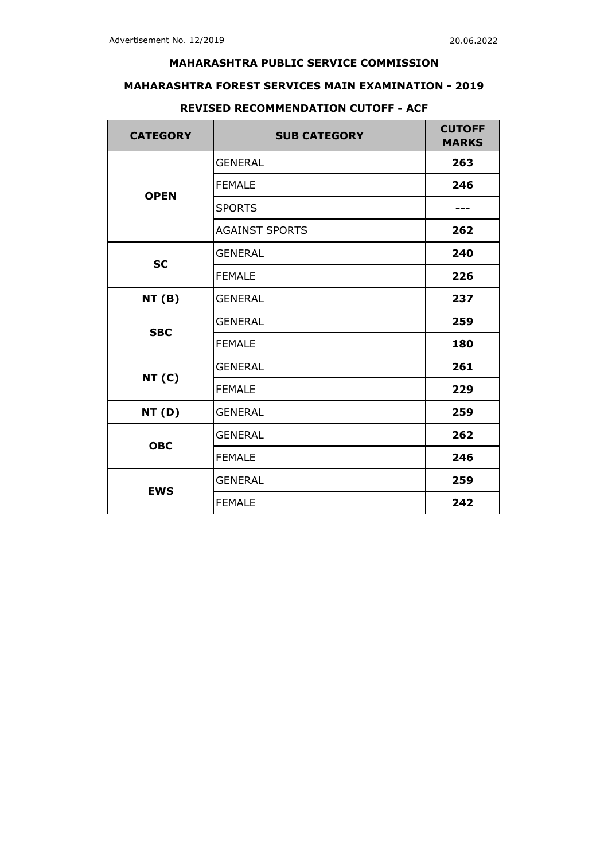## **MAHARASHTRA FOREST SERVICES MAIN EXAMINATION - 2019**

| <b>CATEGORY</b> | <b>SUB CATEGORY</b>   | <b>CUTOFF</b><br><b>MARKS</b> |
|-----------------|-----------------------|-------------------------------|
|                 | <b>GENERAL</b>        | 263                           |
| <b>OPEN</b>     | <b>FEMALE</b>         | 246                           |
|                 | <b>SPORTS</b>         |                               |
|                 | <b>AGAINST SPORTS</b> | 262                           |
| <b>SC</b>       | <b>GENERAL</b>        | 240                           |
|                 | <b>FEMALE</b>         | 226                           |
| <b>NT (B)</b>   | <b>GENERAL</b>        | 237                           |
| <b>SBC</b>      | <b>GENERAL</b>        | 259                           |
|                 | <b>FEMALE</b>         | 180                           |
| <b>NT (C)</b>   | <b>GENERAL</b>        | 261                           |
|                 | <b>FEMALE</b>         | 229                           |
| <b>NT (D)</b>   | <b>GENERAL</b>        | 259                           |
| <b>OBC</b>      | <b>GENERAL</b>        | 262                           |
|                 | <b>FEMALE</b>         | 246                           |
| <b>EWS</b>      | <b>GENERAL</b>        | 259                           |
|                 | <b>FEMALE</b>         | 242                           |

## **REVISED RECOMMENDATION CUTOFF - ACF**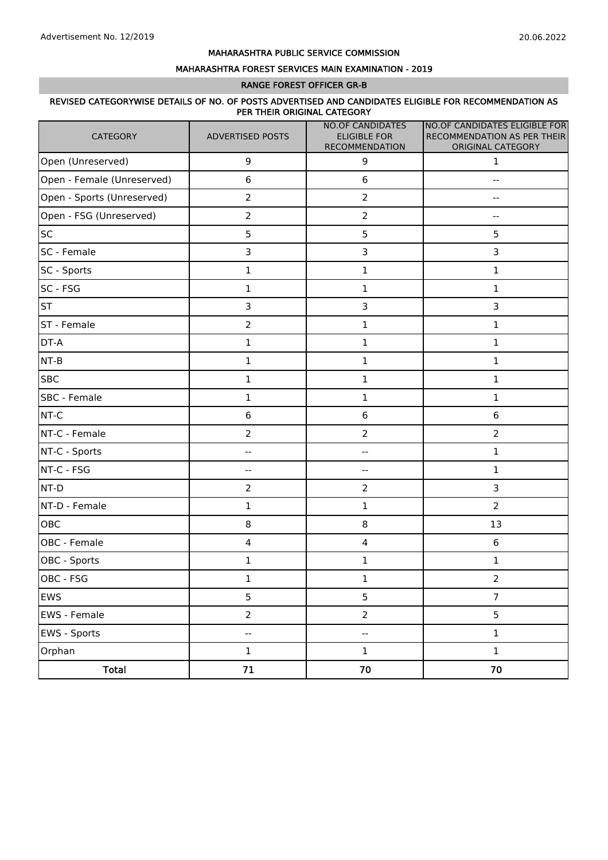#### MAHARASHTRA FOREST SERVICES MAIN EXAMINATION - 2019

#### RANGE FOREST OFFICER GR-B

#### REVISED CATEGORYWISE DETAILS OF NO. OF POSTS ADVERTISED AND CANDIDATES ELIGIBLE FOR RECOMMENDATION AS PER THEIR ORIGINAL CATEGORY

| CATEGORY                   | <b>ADVERTISED POSTS</b>  | <b>NO.OF CANDIDATES</b><br><b>ELIGIBLE FOR</b><br>RECOMMENDATION | NO.OF CANDIDATES ELIGIBLE FOR<br>RECOMMENDATION AS PER THEIR<br>ORIGINAL CATEGORY |
|----------------------------|--------------------------|------------------------------------------------------------------|-----------------------------------------------------------------------------------|
| Open (Unreserved)          | $\mathsf 9$              | 9                                                                | $\mathbf{1}$                                                                      |
| Open - Female (Unreserved) | $\,6\,$                  | $\,6\,$                                                          | --                                                                                |
| Open - Sports (Unreserved) | $\overline{2}$           | $\overline{2}$                                                   |                                                                                   |
| Open - FSG (Unreserved)    | $\overline{2}$           | $\overline{2}$                                                   |                                                                                   |
| <b>SC</b>                  | 5                        | 5                                                                | 5                                                                                 |
| SC - Female                | 3                        | 3                                                                | 3                                                                                 |
| SC - Sports                | $\mathbf 1$              | $\mathbf{1}$                                                     | 1                                                                                 |
| SC - FSG                   | $\mathbf 1$              | $\mathbf 1$                                                      | 1                                                                                 |
| <b>ST</b>                  | 3                        | 3                                                                | 3                                                                                 |
| ST - Female                | $\overline{2}$           | $\mathbf 1$                                                      | $\mathbf 1$                                                                       |
| DT-A                       | $\mathbf 1$              | $\mathbf 1$                                                      | $\mathbf 1$                                                                       |
| $NT-B$                     | $\mathbf 1$              | $\mathbf 1$                                                      | $\mathbf 1$                                                                       |
| <b>SBC</b>                 | $\mathbf 1$              | $\mathbf 1$                                                      | $\mathbf 1$                                                                       |
| SBC - Female               | $\mathbf 1$              | $\mathbf 1$                                                      | $\mathbf 1$                                                                       |
| NT-C                       | $\boldsymbol{6}$         | $\bf 6$                                                          | $\,6$                                                                             |
| NT-C - Female              | $\overline{2}$           | $\mathbf 2$                                                      | $\overline{2}$                                                                    |
| NT-C - Sports              | $- \, -$                 | --                                                               | $\mathbf 1$                                                                       |
| NT-C - FSG                 | $\overline{\phantom{m}}$ | $\overline{\phantom{m}}$                                         | 1                                                                                 |
| NT-D                       | $\overline{2}$           | $\overline{2}$                                                   | 3                                                                                 |
| NT-D - Female              | $\mathbf{1}$             | $\mathbf 1$                                                      | $\overline{2}$                                                                    |
| OBC                        | 8                        | 8                                                                | 13                                                                                |
| OBC - Female               | $\overline{4}$           | $\overline{4}$                                                   | 6                                                                                 |
| OBC - Sports               | $\mathbf 1$              | $\mathbf 1$                                                      | $\mathbf 1$                                                                       |
| OBC - FSG                  | $\mathbf 1$              | 1                                                                | $\mathbf 2$                                                                       |
| <b>EWS</b>                 | 5                        | 5                                                                | $\overline{7}$                                                                    |
| EWS - Female               | $\overline{2}$           | $\overline{2}$                                                   | 5                                                                                 |
| EWS - Sports               | $\overline{\phantom{a}}$ | $\overline{\phantom{a}}$                                         | $\mathbf 1$                                                                       |
| Orphan                     | $\mathbf 1$              | $\mathbf 1$                                                      | $\mathbf 1$                                                                       |
| <b>Total</b>               | 71                       | 70                                                               | 70                                                                                |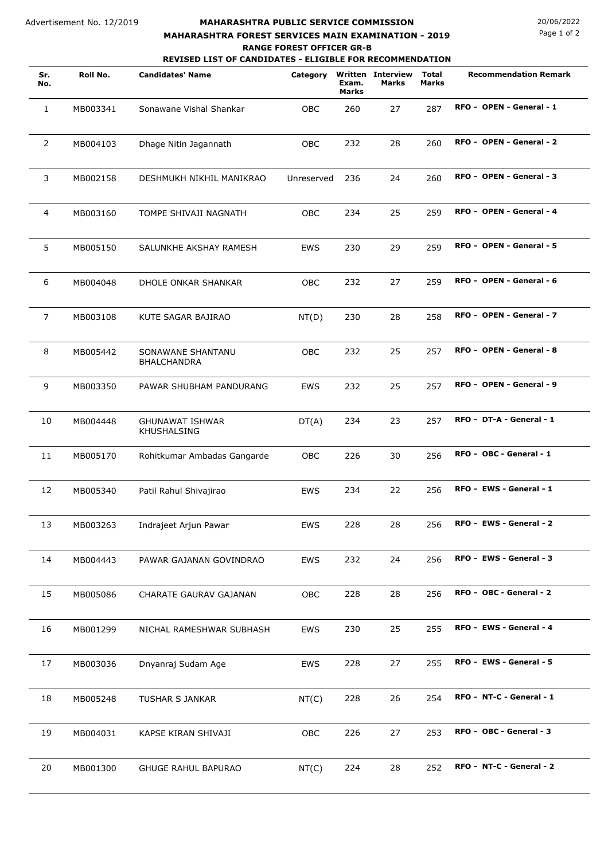## **MAHARASHTRA PUBLIC SERVICE COMMISSION** 20/06/2022 **MAHARASHTRA FOREST SERVICES MAIN EXAMINATION - 2019 RANGE FOREST OFFICER GR-B**

Page 1 of 2

**REVISED LIST OF CANDIDATES - ELIGIBLE FOR RECOMMENDATION**

| Sr.<br>No.     | Roll No. | <b>Candidates' Name</b>               | Category   | Exam.<br><b>Marks</b> | <b>Written Interview</b><br>Marks | Total<br>Marks | <b>Recommendation Remark</b> |
|----------------|----------|---------------------------------------|------------|-----------------------|-----------------------------------|----------------|------------------------------|
| 1              | MB003341 | Sonawane Vishal Shankar               | OBC        | 260                   | 27                                | 287            | RFO - OPEN - General - 1     |
| $\overline{2}$ | MB004103 | Dhage Nitin Jagannath                 | OBC        | 232                   | 28                                | 260            | RFO - OPEN - General - 2     |
| 3              | MB002158 | DESHMUKH NIKHIL MANIKRAO              | Unreserved | 236                   | 24                                | 260            | RFO - OPEN - General - 3     |
| 4              | MB003160 | TOMPE SHIVAJI NAGNATH                 | OBC        | 234                   | 25                                | 259            | RFO - OPEN - General - 4     |
| 5              | MB005150 | SALUNKHE AKSHAY RAMESH                | <b>EWS</b> | 230                   | 29                                | 259            | RFO - OPEN - General - 5     |
| 6              | MB004048 | DHOLE ONKAR SHANKAR                   | <b>OBC</b> | 232                   | 27                                | 259            | RFO - OPEN - General - 6     |
| 7              | MB003108 | KUTE SAGAR BAJIRAO                    | NT(D)      | 230                   | 28                                | 258            | RFO - OPEN - General - 7     |
| 8              | MB005442 | SONAWANE SHANTANU<br>BHALCHANDRA      | OBC        | 232                   | 25                                | 257            | RFO - OPEN - General - 8     |
| 9              | MB003350 | PAWAR SHUBHAM PANDURANG               | <b>EWS</b> | 232                   | 25                                | 257            | RFO - OPEN - General - 9     |
| 10             | MB004448 | <b>GHUNAWAT ISHWAR</b><br>KHUSHALSING | DT(A)      | 234                   | 23                                | 257            | RFO - DT-A - General - 1     |
| 11             | MB005170 | Rohitkumar Ambadas Gangarde           | OBC        | 226                   | 30                                | 256            | RFO - OBC - General - 1      |
| 12             | MB005340 | Patil Rahul Shivajirao                | EWS        | 234                   | 22                                | 256            | RFO - EWS - General - 1      |
| 13             | MB003263 | Indrajeet Arjun Pawar                 | EWS        | 228                   | 28                                | 256            | RFO - EWS - General - 2      |
| 14             | MB004443 | PAWAR GAJANAN GOVINDRAO               | EWS        | 232                   | 24                                | 256            | RFO - EWS - General - 3      |
| 15             | MB005086 | CHARATE GAURAV GAJANAN                | OBC        | 228                   | 28                                | 256            | RFO - OBC - General - 2      |
| 16             | MB001299 | NICHAL RAMESHWAR SUBHASH              | EWS        | 230                   | 25                                | 255            | RFO - EWS - General - 4      |
| 17             | MB003036 | Dnyanraj Sudam Age                    | EWS        | 228                   | 27                                | 255            | RFO - EWS - General - 5      |
| 18             | MB005248 | TUSHAR S JANKAR                       | NT(C)      | 228                   | 26                                | 254            | RFO - NT-C - General - 1     |
| 19             | MB004031 | KAPSE KIRAN SHIVAJI                   | <b>OBC</b> | 226                   | 27                                | 253            | RFO - OBC - General - 3      |
| 20             | MB001300 | GHUGE RAHUL BAPURAO                   | NT(C)      | 224                   | 28                                | 252            | RFO - NT-C - General - 2     |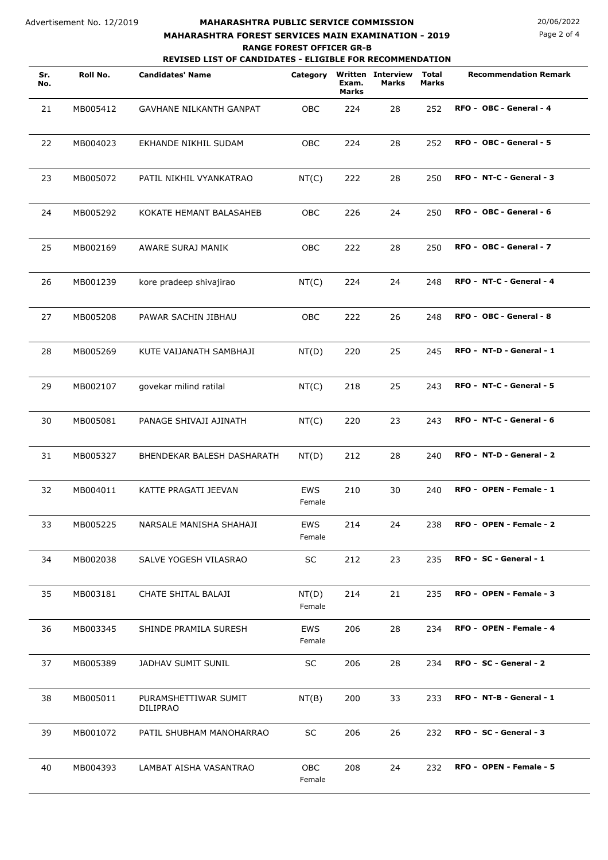#### Advertisement No. 12/2019

## **MAHARASHTRA PUBLIC SERVICE COMMISSION** 20/06/2022 **MAHARASHTRA FOREST SERVICES MAIN EXAMINATION - 2019**

**REVISED LIST OF CANDIDATES - ELIGIBLE FOR RECOMMENDATION RANGE FOREST OFFICER GR-B**

| Sr.<br>No. | Roll No. | <b>Candidates' Name</b>          | Category             | Exam.<br><b>Marks</b> | <b>Written Interview</b><br><b>Marks</b> | <b>Total</b><br>Marks | <b>Recommendation Remark</b> |
|------------|----------|----------------------------------|----------------------|-----------------------|------------------------------------------|-----------------------|------------------------------|
| 21         | MB005412 | GAVHANE NILKANTH GANPAT          | OBC                  | 224                   | 28                                       | 252                   | RFO - OBC - General - 4      |
| 22         | MB004023 | EKHANDE NIKHIL SUDAM             | OBC                  | 224                   | 28                                       | 252                   | RFO - OBC - General - 5      |
| 23         | MB005072 | PATIL NIKHIL VYANKATRAO          | NT(C)                | 222                   | 28                                       | 250                   | RFO - NT-C - General - 3     |
| 24         | MB005292 | KOKATE HEMANT BALASAHEB          | OBC                  | 226                   | 24                                       | 250                   | RFO - OBC - General - 6      |
| 25         | MB002169 | AWARE SURAJ MANIK                | OBC                  | 222                   | 28                                       | 250                   | RFO - OBC - General - 7      |
| 26         | MB001239 | kore pradeep shivajirao          | NT(C)                | 224                   | 24                                       | 248                   | RFO - NT-C - General - 4     |
| 27         | MB005208 | PAWAR SACHIN JIBHAU              | OBC                  | 222                   | 26                                       | 248                   | RFO - OBC - General - 8      |
| 28         | MB005269 | KUTE VAIJANATH SAMBHAJI          | NT(D)                | 220                   | 25                                       | 245                   | RFO - NT-D - General - 1     |
| 29         | MB002107 | govekar milind ratilal           | NT(C)                | 218                   | 25                                       | 243                   | RFO - NT-C - General - 5     |
| 30         | MB005081 | PANAGE SHIVAJI AJINATH           | NT(C)                | 220                   | 23                                       | 243                   | RFO - NT-C - General - 6     |
| 31         | MB005327 | BHENDEKAR BALESH DASHARATH       | NT(D)                | 212                   | 28                                       | 240                   | RFO - NT-D - General - 2     |
| 32         | MB004011 | KATTE PRAGATI JEEVAN             | <b>EWS</b><br>Female | 210                   | 30                                       | 240                   | RFO - OPEN - Female - 1      |
| 33         | MB005225 | NARSALE MANISHA SHAHAJI          | EWS<br>Female        | 214                   | 24                                       | 238                   | RFO - OPEN - Female - 2      |
| 34         | MB002038 | SALVE YOGESH VILASRAO            | <b>SC</b>            | 212                   | 23                                       | 235                   | RFO - SC - General - 1       |
| 35         | MB003181 | CHATE SHITAL BALAJI              | NT(D)<br>Female      | 214                   | 21                                       | 235                   | RFO - OPEN - Female - 3      |
| 36         | MB003345 | SHINDE PRAMILA SURESH            | <b>EWS</b><br>Female | 206                   | 28                                       | 234                   | RFO - OPEN - Female - 4      |
| 37         | MB005389 | JADHAV SUMIT SUNIL               | <b>SC</b>            | 206                   | 28                                       | 234                   | RFO - SC - General - 2       |
| 38         | MB005011 | PURAMSHETTIWAR SUMIT<br>DILIPRAO | NT(B)                | 200                   | 33                                       | 233                   | RFO - NT-B - General - 1     |
| 39         | MB001072 | PATIL SHUBHAM MANOHARRAO         | SC                   | 206                   | 26                                       | 232                   | RFO - SC - General - 3       |
| 40         | MB004393 | LAMBAT AISHA VASANTRAO           | OBC<br>Female        | 208                   | 24                                       | 232                   | RFO - OPEN - Female - 5      |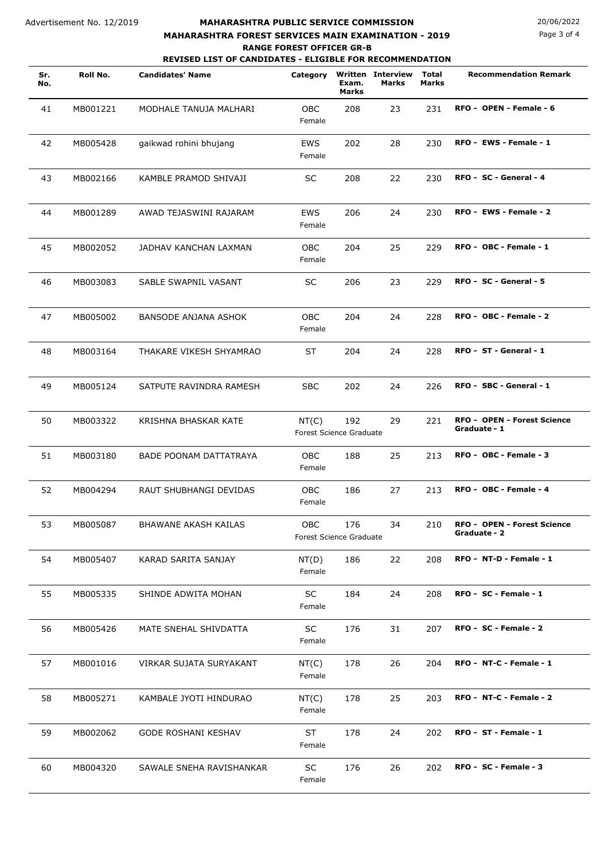## **MAHARASHTRA PUBLIC SERVICE COMMISSION** 20/06/2022 **MAHARASHTRA FOREST SERVICES MAIN EXAMINATION - 2019**

**REVISED LIST OF CANDIDATES - ELIGIBLE FOR RECOMMENDATION RANGE FOREST OFFICER GR-B**

# Page 3 of 4

|            |          | <b>REVISED LIST OF CANDIDATES - ELIGIBLE FOR RECOMMENDATION</b> |                                       |                                |                                          |                       |                                                    |
|------------|----------|-----------------------------------------------------------------|---------------------------------------|--------------------------------|------------------------------------------|-----------------------|----------------------------------------------------|
| Sr.<br>No. | Roll No. | <b>Candidates' Name</b>                                         | Category                              | Exam.<br>Marks                 | <b>Written Interview</b><br><b>Marks</b> | <b>Total</b><br>Marks | <b>Recommendation Remark</b>                       |
| 41         | MB001221 | MODHALE TANUJA MALHARI                                          | <b>OBC</b><br>Female                  | 208                            | 23                                       | 231                   | RFO - OPEN - Female - 6                            |
| 42         | MB005428 | gaikwad rohini bhujang                                          | <b>EWS</b><br>Female                  | 202                            | 28                                       | 230                   | RFO - EWS - Female - 1                             |
| 43         | MB002166 | KAMBLE PRAMOD SHIVAJI                                           | <b>SC</b>                             | 208                            | 22                                       | 230                   | RFO - SC - General - 4                             |
| 44         | MB001289 | AWAD TEJASWINI RAJARAM                                          | <b>EWS</b><br>Female                  | 206                            | 24                                       | 230                   | RFO - EWS - Female - 2                             |
| 45         | MB002052 | JADHAV KANCHAN LAXMAN                                           | OBC<br>Female                         | 204                            | 25                                       | 229                   | RFO - OBC - Female - 1                             |
| 46         | MB003083 | SABLE SWAPNIL VASANT                                            | <b>SC</b>                             | 206                            | 23                                       | 229                   | RFO - SC - General - 5                             |
| 47         | MB005002 | BANSODE ANJANA ASHOK                                            | <b>OBC</b><br>Female                  | 204                            | 24                                       | 228                   | RFO - OBC - Female - 2                             |
| 48         | MB003164 | THAKARE VIKESH SHYAMRAO                                         | <b>ST</b>                             | 204                            | 24                                       | 228                   | RFO - ST - General - 1                             |
| 49         | MB005124 | SATPUTE RAVINDRA RAMESH                                         | <b>SBC</b>                            | 202                            | 24                                       | 226                   | RFO - SBC - General - 1                            |
| 50         | MB003322 | KRISHNA BHASKAR KATE                                            | NT(C)                                 | 192<br>Forest Science Graduate | 29                                       | 221                   | <b>RFO - OPEN - Forest Science</b><br>Graduate - 1 |
| 51         | MB003180 | BADE POONAM DATTATRAYA                                          | <b>OBC</b><br>Female                  | 188                            | 25                                       | 213                   | RFO - OBC - Female - 3                             |
| 52         | MB004294 | RAUT SHUBHANGI DEVIDAS                                          | <b>OBC</b><br>Female                  | 186                            | 27                                       | 213                   | RFO - OBC - Female - 4                             |
| 53         | MB005087 | BHAWANE AKASH KAILAS                                            | <b>OBC</b><br>Forest Science Graduate | 176                            | 34                                       | 210                   | <b>RFO - OPEN - Forest Science</b><br>Graduate - 2 |
| 54         | MB005407 | KARAD SARITA SANJAY                                             | NT(D)<br>Female                       | 186                            | 22                                       | 208                   | RFO - NT-D - Female - 1                            |
| 55         | MB005335 | SHINDE ADWITA MOHAN                                             | <b>SC</b><br>Female                   | 184                            | 24                                       | 208                   | RFO - SC - Female - 1                              |
| 56         | MB005426 | MATE SNEHAL SHIVDATTA                                           | <b>SC</b><br>Female                   | 176                            | 31                                       | 207                   | RFO - SC - Female - 2                              |
| 57         | MB001016 | VIRKAR SUJATA SURYAKANT                                         | NT(C)<br>Female                       | 178                            | 26                                       | 204                   | RFO - NT-C - Female - 1                            |
| 58         | MB005271 | KAMBALE JYOTI HINDURAO                                          | NT(C)<br>Female                       | 178                            | 25                                       | 203                   | RFO - NT-C - Female - 2                            |
| 59         | MB002062 | GODE ROSHANI KESHAV                                             | <b>ST</b><br>Female                   | 178                            | 24                                       | 202                   | RFO - ST - Female - 1                              |
| 60         | MB004320 | SAWALE SNEHA RAVISHANKAR                                        | SC<br>Female                          | 176                            | 26                                       | 202                   | RFO - SC - Female - 3                              |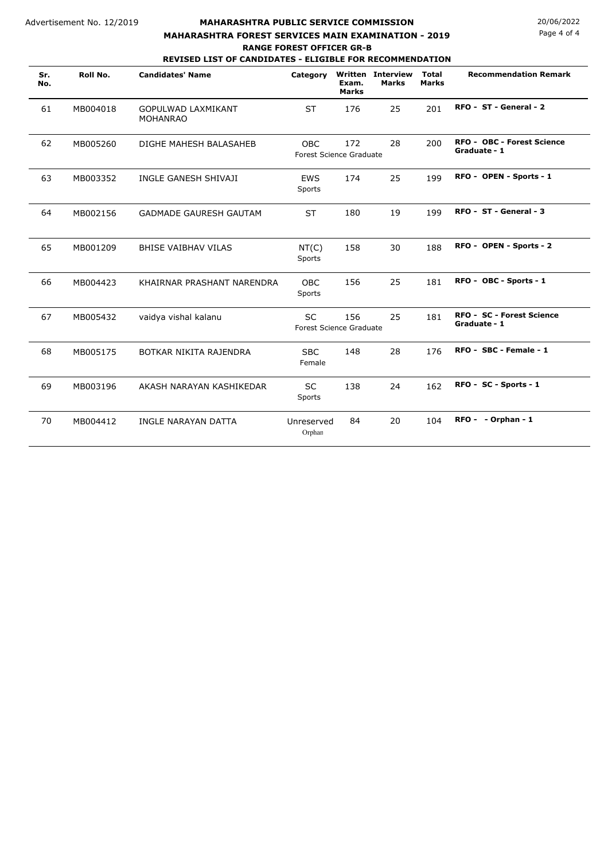#### **MAHARASHTRA PUBLIC SERVICE COMMISSION** 20/06/2022 **REVISED LIST OF CANDIDATES - ELIGIBLE FOR RECOMMENDATION MAHARASHTRA FOREST SERVICES MAIN EXAMINATION - 2019 RANGE FOREST OFFICER GR-B**

Page 4 of 4

| Sr.<br>No. | Roll No. | <b>Candidates' Name</b>                      | Category                              | Exam.<br><b>Marks</b> | <b>Written Interview</b><br><b>Marks</b> | <b>Total</b><br><b>Marks</b> | <b>Recommendation Remark</b>                      |
|------------|----------|----------------------------------------------|---------------------------------------|-----------------------|------------------------------------------|------------------------------|---------------------------------------------------|
| 61         | MB004018 | <b>GOPULWAD LAXMIKANT</b><br><b>MOHANRAO</b> | <b>ST</b>                             | 176                   | 25                                       | 201                          | RFO - ST - General - 2                            |
| 62         | MB005260 | DIGHE MAHESH BALASAHEB                       | <b>OBC</b><br>Forest Science Graduate | 172                   | 28                                       | 200                          | <b>RFO - OBC - Forest Science</b><br>Graduate - 1 |
| 63         | MB003352 | INGLE GANESH SHIVAJI                         | <b>EWS</b><br>Sports                  | 174                   | 25                                       | 199                          | RFO - OPEN - Sports - 1                           |
| 64         | MB002156 | <b>GADMADE GAURESH GAUTAM</b>                | <b>ST</b>                             | 180                   | 19                                       | 199                          | RFO - ST - General - 3                            |
| 65         | MB001209 | <b>BHISE VAIBHAV VILAS</b>                   | NT(C)<br>Sports                       | 158                   | 30                                       | 188                          | RFO - OPEN - Sports - 2                           |
| 66         | MB004423 | KHAIRNAR PRASHANT NARENDRA                   | <b>OBC</b><br>Sports                  | 156                   | 25                                       | 181                          | RFO - OBC - Sports - 1                            |
| 67         | MB005432 | vaidya vishal kalanu                         | SC<br>Forest Science Graduate         | 156                   | 25                                       | 181                          | RFO - SC - Forest Science<br>Graduate - 1         |
| 68         | MB005175 | BOTKAR NIKITA RAJENDRA                       | <b>SBC</b><br>Female                  | 148                   | 28                                       | 176                          | RFO - SBC - Female - 1                            |
| 69         | MB003196 | AKASH NARAYAN KASHIKEDAR                     | <b>SC</b><br>Sports                   | 138                   | 24                                       | 162                          | RFO - SC - Sports - 1                             |
| 70         | MB004412 | INGLE NARAYAN DATTA                          | Unreserved<br>Orphan                  | 84                    | 20                                       | 104                          | RFO - - Orphan - 1                                |